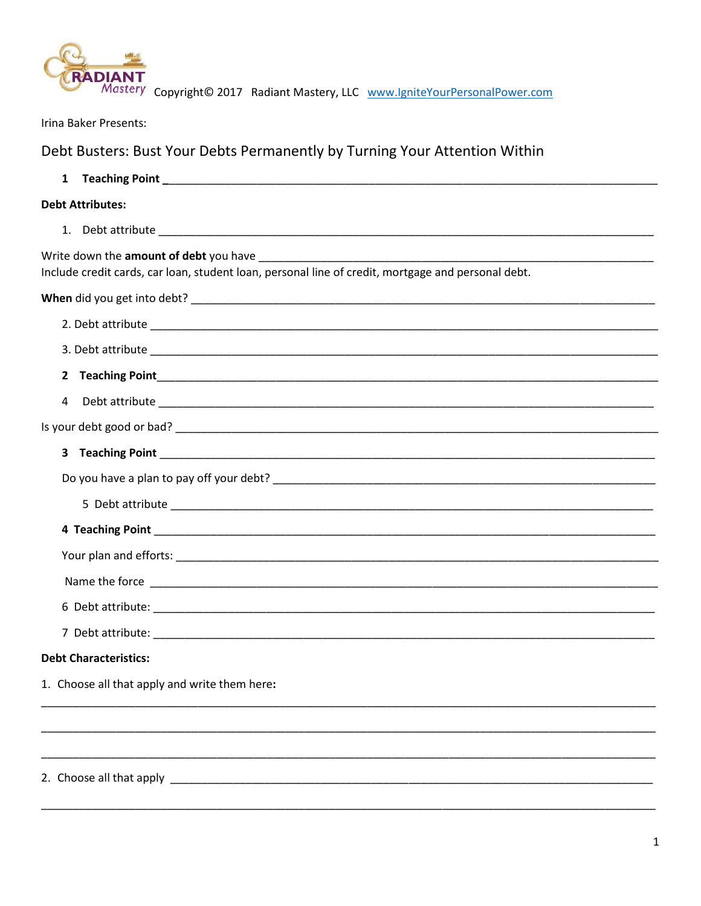

Mastery Copyright© 2017 Radiant Mastery, LLC www.lgniteYourPersonalPower.com

Irina Baker Presents:

## Debt Busters: Bust Your Debts Permanently by Turning Your Attention Within

| $\mathbf{1}$                                                                                       |
|----------------------------------------------------------------------------------------------------|
| <b>Debt Attributes:</b>                                                                            |
|                                                                                                    |
| Include credit cards, car loan, student loan, personal line of credit, mortgage and personal debt. |
|                                                                                                    |
|                                                                                                    |
|                                                                                                    |
|                                                                                                    |
| 4                                                                                                  |
|                                                                                                    |
|                                                                                                    |
|                                                                                                    |
|                                                                                                    |
|                                                                                                    |
|                                                                                                    |
|                                                                                                    |
|                                                                                                    |
|                                                                                                    |
| <b>Debt Characteristics:</b>                                                                       |
| 1. Choose all that apply and write them here:                                                      |
|                                                                                                    |
|                                                                                                    |
| 2. Choose all that apply                                                                           |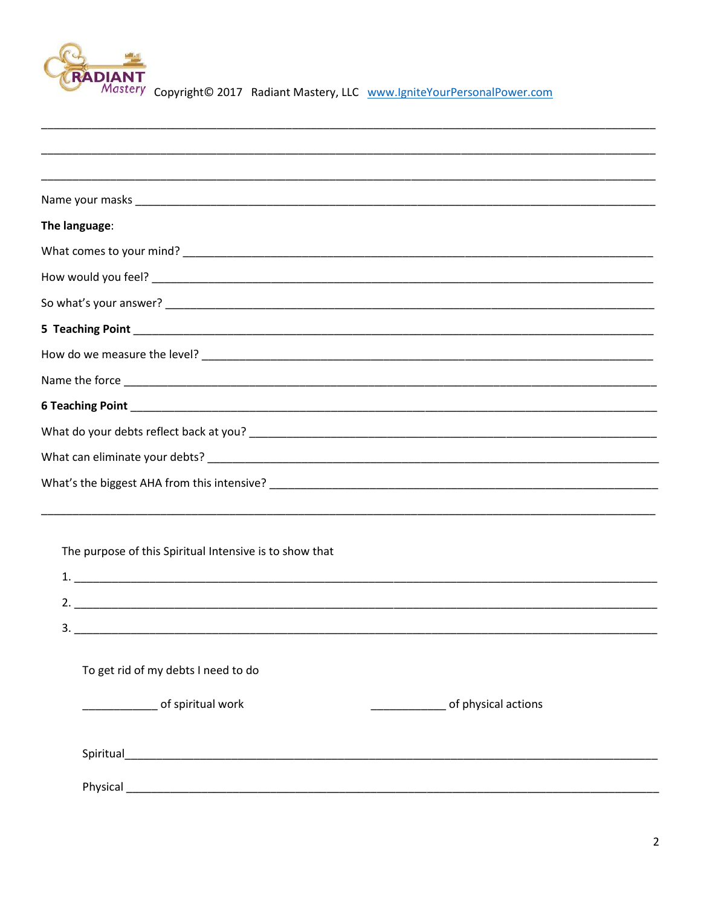

| The language:                                                                                                            |  |
|--------------------------------------------------------------------------------------------------------------------------|--|
|                                                                                                                          |  |
|                                                                                                                          |  |
|                                                                                                                          |  |
| 5 Teaching Point <b>Figure 2018</b> 2019 2020 2021 2022 2023 2024 2022 2023 2024 2022 2023 2024 2022 2023 2024 2022 2023 |  |
|                                                                                                                          |  |
|                                                                                                                          |  |
|                                                                                                                          |  |
|                                                                                                                          |  |
|                                                                                                                          |  |
|                                                                                                                          |  |
|                                                                                                                          |  |
|                                                                                                                          |  |
| The purpose of this Spiritual Intensive is to show that                                                                  |  |
|                                                                                                                          |  |
|                                                                                                                          |  |
| $3.$ $\overline{\phantom{a}}$                                                                                            |  |
| To get rid of my debts I need to do                                                                                      |  |
| of spiritual work                                                                                                        |  |
|                                                                                                                          |  |
|                                                                                                                          |  |